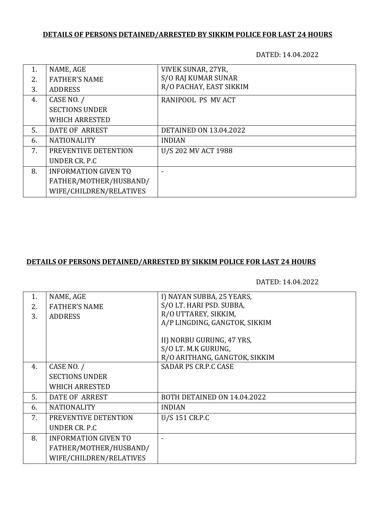# **DETAILS OF PERSONS DETAINED/ARRESTED BY SIKKIM POLICE FOR LAST 24 HOURS**

DATED: 14.04.2022

| 1. | NAME, AGE                   | VIVEK SUNAR, 27YR,            |
|----|-----------------------------|-------------------------------|
| 2. | <b>FATHER'S NAME</b>        | S/O RAJ KUMAR SUNAR           |
| 3. | <b>ADDRESS</b>              | R/O PACHAY, EAST SIKKIM       |
| 4. | CASE NO. /                  | RANIPOOL PS MV ACT            |
|    | <b>SECTIONS UNDER</b>       |                               |
|    | <b>WHICH ARRESTED</b>       |                               |
| 5. | DATE OF ARREST              | <b>DETAINED ON 13.04.2022</b> |
| 6. | <b>NATIONALITY</b>          | <b>INDIAN</b>                 |
| 7. | PREVENTIVE DETENTION        | U/S 202 MV ACT 1988           |
|    | UNDER CR. P.C.              |                               |
| 8. | <b>INFORMATION GIVEN TO</b> | $\overline{\phantom{0}}$      |
|    | FATHER/MOTHER/HUSBAND/      |                               |
|    | WIFE/CHILDREN/RELATIVES     |                               |

#### **DETAILS OF PERSONS DETAINED/ARRESTED BY SIKKIM POLICE FOR LAST 24 HOURS**

DATED: 14.04.2022

| 1. | NAME, AGE                   | I) NAYAN SUBBA, 25 YEARS,     |
|----|-----------------------------|-------------------------------|
| 2. | <b>FATHER'S NAME</b>        | S/O LT. HARI PSD. SUBBA,      |
| 3. | <b>ADDRESS</b>              | R/O UTTAREY, SIKKIM,          |
|    |                             | A/P LINGDING, GANGTOK, SIKKIM |
|    |                             |                               |
|    |                             | II) NORBU GURUNG, 47 YRS,     |
|    |                             | S/O LT. M.K GURUNG,           |
|    |                             | R/O ARITHANG, GANGTOK, SIKKIM |
| 4. | CASE NO. /                  | <b>SADAR PS CR.P.C CASE</b>   |
|    | <b>SECTIONS UNDER</b>       |                               |
|    | <b>WHICH ARRESTED</b>       |                               |
| 5. | DATE OF ARREST              | BOTH DETAINED ON 14.04.2022   |
| 6. | <b>NATIONALITY</b>          | <b>INDIAN</b>                 |
| 7. | PREVENTIVE DETENTION        | U/S 151 CR.P.C                |
|    | UNDER CR. P.C.              |                               |
| 8. | <b>INFORMATION GIVEN TO</b> |                               |
|    | FATHER/MOTHER/HUSBAND/      |                               |
|    | WIFE/CHILDREN/RELATIVES     |                               |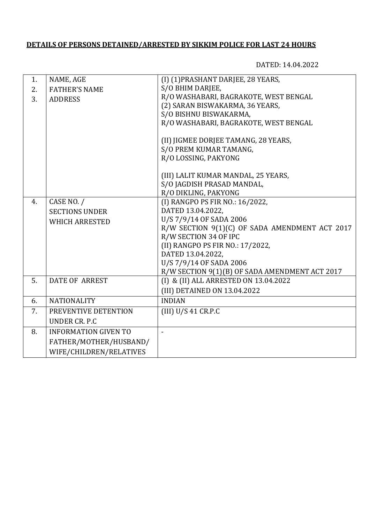### **DETAILS OF PERSONS DETAINED/ARRESTED BY SIKKIM POLICE FOR LAST 24 HOURS**

DATED: 14.04.2022

| 1. | NAME, AGE                   | (I) (1) PRASHANT DARJEE, 28 YEARS,             |
|----|-----------------------------|------------------------------------------------|
| 2. | <b>FATHER'S NAME</b>        | S/O BHIM DARJEE,                               |
| 3. | <b>ADDRESS</b>              | R/O WASHABARI, BAGRAKOTE, WEST BENGAL          |
|    |                             | (2) SARAN BISWAKARMA, 36 YEARS,                |
|    |                             | S/O BISHNU BISWAKARMA,                         |
|    |                             | R/O WASHABARI, BAGRAKOTE, WEST BENGAL          |
|    |                             | (II) JIGMEE DORJEE TAMANG, 28 YEARS,           |
|    |                             | S/O PREM KUMAR TAMANG,                         |
|    |                             | R/O LOSSING, PAKYONG                           |
|    |                             | (III) LALIT KUMAR MANDAL, 25 YEARS,            |
|    |                             | S/O JAGDISH PRASAD MANDAL,                     |
|    |                             | R/O DIKLING, PAKYONG                           |
| 4. | CASE NO. /                  | (I) RANGPO PS FIR NO.: 16/2022,                |
|    | <b>SECTIONS UNDER</b>       | DATED 13.04.2022.                              |
|    | <b>WHICH ARRESTED</b>       | U/S 7/9/14 OF SADA 2006                        |
|    |                             | R/W SECTION 9(1)(C) OF SADA AMENDMENT ACT 2017 |
|    |                             | R/W SECTION 34 OF IPC                          |
|    |                             | (II) RANGPO PS FIR NO.: 17/2022,               |
|    |                             | DATED 13.04.2022,                              |
|    |                             | U/S 7/9/14 OF SADA 2006                        |
|    |                             | R/W SECTION 9(1)(B) OF SADA AMENDMENT ACT 2017 |
| 5. | DATE OF ARREST              | (I) & (II) ALL ARRESTED ON 13.04.2022          |
|    |                             | (III) DETAINED ON 13.04.2022                   |
| 6. | <b>NATIONALITY</b>          | <b>INDIAN</b>                                  |
| 7. | PREVENTIVE DETENTION        | (III) U/S 41 CR.P.C                            |
|    | UNDER CR. P.C               |                                                |
| 8. | <b>INFORMATION GIVEN TO</b> | $\overline{\phantom{0}}$                       |
|    | FATHER/MOTHER/HUSBAND/      |                                                |
|    | WIFE/CHILDREN/RELATIVES     |                                                |
|    |                             |                                                |